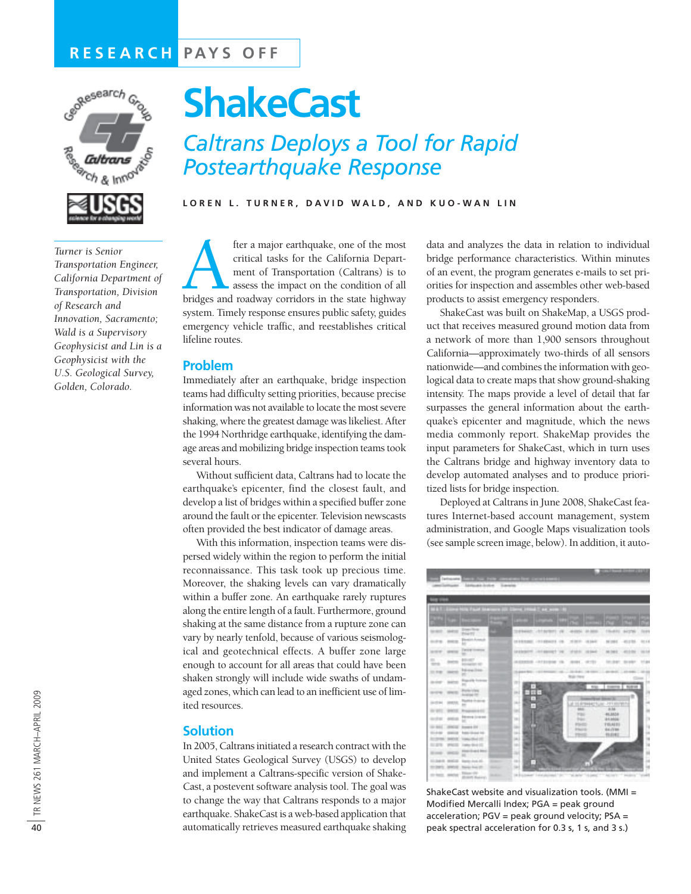# **RESEARCH PAYS OFF**



*Turner is Senior Transportation Engineer, California Department of Transportation, Division of Research and Innovation, Sacramento; Wald is a Supervisory Geophysicist and Lin is a Geophysicist with the U.S. Geological Survey, Golden, Colorado.* 

# **ShakeCast**

*Caltrans Deploys a Tool for Rapid Postearthquake Response*

**LOREN L. TURNER, DAVID WALD, AND KUO-WAN LIN**

fter a major earthquake, one of the most<br>critical tasks for the California Depart-<br>ment of Transportation (Caltrans) is to<br>assess the impact on the condition of all<br>bridges and roadway corridors in the state highway critical tasks for the California Department of Transportation (Caltrans) is to assess the impact on the condition of all system. Timely response ensures public safety, guides emergency vehicle traffic, and reestablishes critical lifeline routes.

### **Problem**

Immediately after an earthquake, bridge inspection teams had difficulty setting priorities, because precise information was not available to locate the most severe shaking, where the greatest damage was likeliest. After the 1994 Northridge earthquake, identifying the damage areas and mobilizing bridge inspection teams took several hours.

Without sufficient data, Caltrans had to locate the earthquake's epicenter, find the closest fault, and develop a list of bridges within a specified buffer zone around the fault or the epicenter. Television newscasts often provided the best indicator of damage areas.

With this information, inspection teams were dispersed widely within the region to perform the initial reconnaissance. This task took up precious time. Moreover, the shaking levels can vary dramatically within a buffer zone. An earthquake rarely ruptures along the entire length of a fault. Furthermore, ground shaking at the same distance from a rupture zone can vary by nearly tenfold, because of various seismological and geotechnical effects. A buffer zone large enough to account for all areas that could have been shaken strongly will include wide swaths of undamaged zones, which can lead to an inefficient use of limited resources.

#### **Solution**

In 2005, Caltrans initiated a research contract with the United States Geological Survey (USGS) to develop and implement a Caltrans-specific version of Shake-Cast, a postevent software analysis tool. The goal was to change the way that Caltrans responds to a major earthquake. ShakeCast is a web-based application that automatically retrieves measured earthquake shaking data and analyzes the data in relation to individual bridge performance characteristics. Within minutes of an event, the program generates e-mails to set priorities for inspection and assembles other web-based products to assist emergency responders.

ShakeCast was built on ShakeMap, a USGS product that receives measured ground motion data from a network of more than 1,900 sensors throughout California—approximately two-thirds of all sensors nationwide—and combines the information with geological data to create maps that show ground-shaking intensity. The maps provide a level of detail that far surpasses the general information about the earthquake's epicenter and magnitude, which the news media commonly report. ShakeMap provides the input parameters for ShakeCast, which in turn uses the Caltrans bridge and highway inventory data to develop automated analyses and to produce prioritized lists for bridge inspection.

Deployed at Caltrans in June 2008, ShakeCast features Internet-based account management, system administration, and Google Maps visualization tools (see sample screen image, below). In addition, it auto-



ShakeCast website and visualization tools. (MMI = Modified Mercalli Index; PGA = peak ground acceleration; PGV = peak ground velocity; PSA = peak spectral acceleration for 0.3 s, 1 s, and 3 s.)